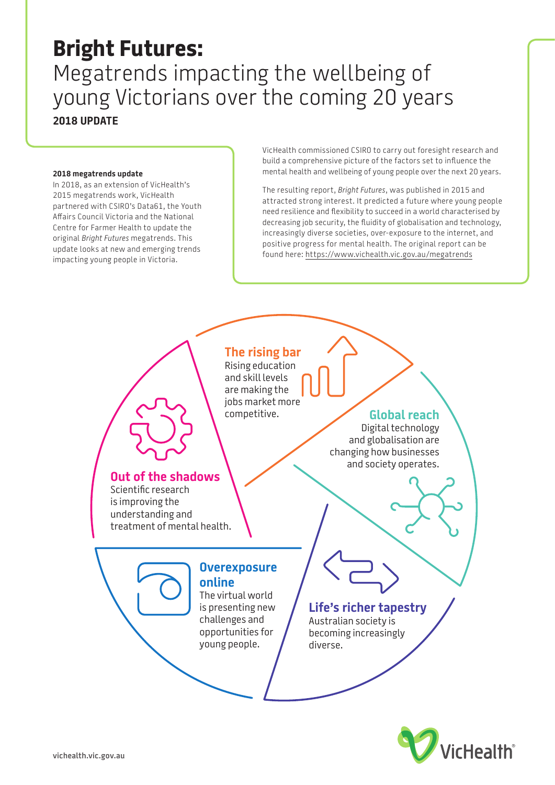### **Bright Futures:**  Megatrends impacting the wellbeing of young Victorians over the coming 20 years **2018 UPDATE**

#### **2018 megatrends update**

In 2018, as an extension of VicHealth's 2015 megatrends work, VicHealth partnered with CSIRO's Data61, the Youth Affairs Council Victoria and the National Centre for Farmer Health to update the original *Bright Futures* megatrends. This update looks at new and emerging trends impacting young people in Victoria.

VicHealth commissioned CSIRO to carry out foresight research and build a comprehensive picture of the factors set to influence the mental health and wellbeing of young people over the next 20 years.

The resulting report, *Bright Futures*, was published in 2015 and attracted strong interest. It predicted a future where young people need resilience and flexibility to succeed in a world characterised by decreasing job security, the fluidity of globalisation and technology, increasingly diverse societies, over-exposure to the internet, and positive progress for mental health. The original report can be found here: <https://www.vichealth.vic.gov.au/megatrends>



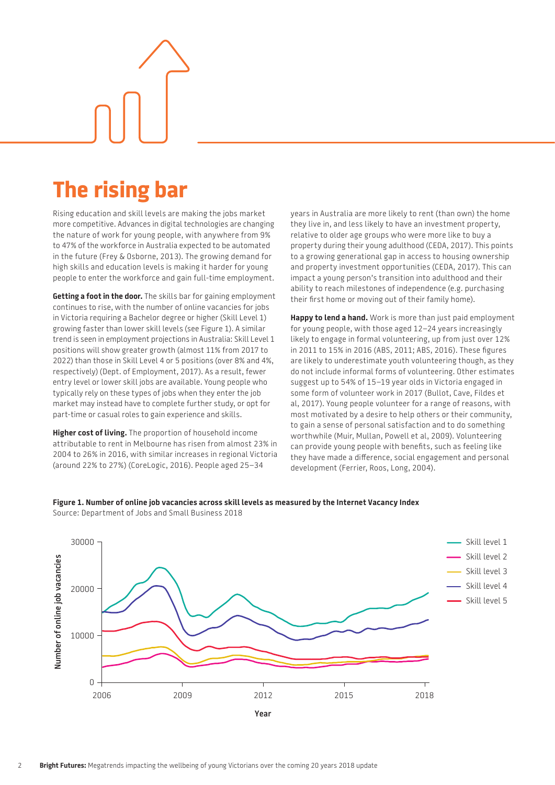# **The rising bar**

Rising education and skill levels are making the jobs market more competitive. Advances in digital technologies are changing the nature of work for young people, with anywhere from 9% to 47% of the workforce in Australia expected to be automated in the future (Frey & Osborne, 2013). The growing demand for high skills and education levels is making it harder for young people to enter the workforce and gain full-time employment.

**Getting a foot in the door.** The skills bar for gaining employment continues to rise, with the number of online vacancies for jobs in Victoria requiring a Bachelor degree or higher (Skill Level 1) growing faster than lower skill levels (see [Figure 1\)](#page-1-0). A similar trend is seen in employment projections in Australia: Skill Level 1 positions will show greater growth (almost 11% from 2017 to 2022) than those in Skill Level 4 or 5 positions (over 8% and 4%, respectively) (Dept. of Employment, 2017). As a result, fewer entry level or lower skill jobs are available. Young people who typically rely on these types of jobs when they enter the job market may instead have to complete further study, or opt for part-time or casual roles to gain experience and skills.

**Higher cost of living.** The proportion of household income attributable to rent in Melbourne has risen from almost 23% in 2004 to 26% in 2016, with similar increases in regional Victoria (around 22% to 27%) (CoreLogic, 2016). People aged 25–34

years in Australia are more likely to rent (than own) the home they live in, and less likely to have an investment property, relative to older age groups who were more like to buy a property during their young adulthood (CEDA, 2017). This points to a growing generational gap in access to housing ownership and property investment opportunities (CEDA, 2017). This can impact a young person's transition into adulthood and their ability to reach milestones of independence (e.g. purchasing their first home or moving out of their family home).

**Happy to lend a hand.** Work is more than just paid employment for young people, with those aged 12–24 years increasingly likely to engage in formal volunteering, up from just over 12% in 2011 to 15% in 2016 (ABS, 2011; ABS, 2016). These figures are likely to underestimate youth volunteering though, as they do not include informal forms of volunteering. Other estimates suggest up to 54% of 15–19 year olds in Victoria engaged in some form of volunteer work in 2017 (Bullot, Cave, Fildes et al, 2017). Young people volunteer for a range of reasons, with most motivated by a desire to help others or their community, to gain a sense of personal satisfaction and to do something worthwhile (Muir, Mullan, Powell et al, 2009). Volunteering can provide young people with benefits, such as feeling like they have made a difference, social engagement and personal development (Ferrier, Roos, Long, 2004).

<span id="page-1-0"></span>

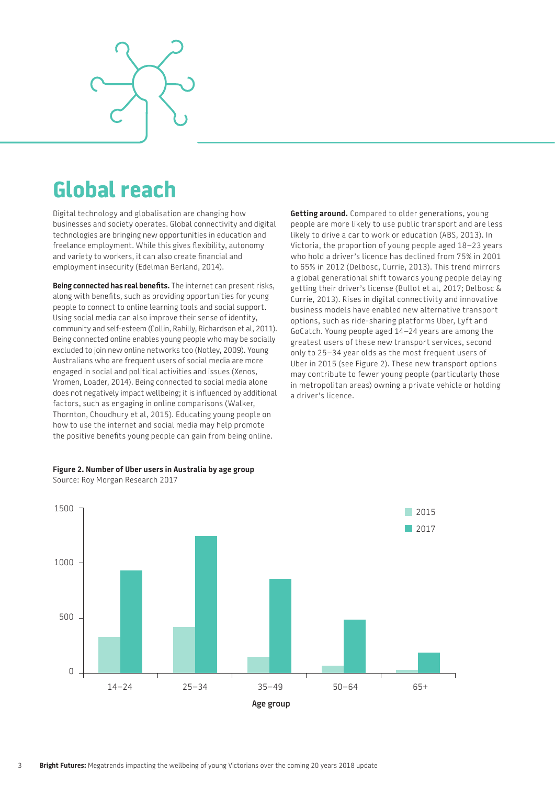

### **Global reach**

Digital technology and globalisation are changing how businesses and society operates. Global connectivity and digital technologies are bringing new opportunities in education and freelance employment. While this gives flexibility, autonomy and variety to workers, it can also create financial and employment insecurity (Edelman Berland, 2014).

**Being connected has real benefits.** The internet can present risks, along with benefits, such as providing opportunities for young people to connect to online learning tools and social support. Using social media can also improve their sense of identity, community and self-esteem (Collin, Rahilly, Richardson et al, 2011). Being connected online enables young people who may be socially excluded to join new online networks too (Notley, 2009). Young Australians who are frequent users of social media are more engaged in social and political activities and issues (Xenos, Vromen, Loader, 2014). Being connected to social media alone does not negatively impact wellbeing; it is influenced by additional factors, such as engaging in online comparisons (Walker, Thornton, Choudhury et al, 2015). Educating young people on how to use the internet and social media may help promote the positive benefits young people can gain from being online.

**Getting around.** Compared to older generations, young people are more likely to use public transport and are less likely to drive a car to work or education (ABS, 2013). In Victoria, the proportion of young people aged 18–23 years who hold a driver's licence has declined from 75% in 2001 to 65% in 2012 (Delbosc, Currie, 2013). This trend mirrors a global generational shift towards young people delaying getting their driver's license (Bullot et al, 2017; Delbosc & Currie, 2013). Rises in digital connectivity and innovative business models have enabled new alternative transport options, such as ride-sharing platforms Uber, Lyft and GoCatch. Young people aged 14–24 years are among the greatest users of these new transport services, second only to 25–34 year olds as the most frequent users of Uber in 2015 (see [Figure 2\)](#page-2-0). These new transport options may contribute to fewer young people (particularly those in metropolitan areas) owning a private vehicle or holding a driver's licence.



#### <span id="page-2-0"></span>**Figure 2. Number of Uber users in Australia by age group**  Source: Roy Morgan Research 2017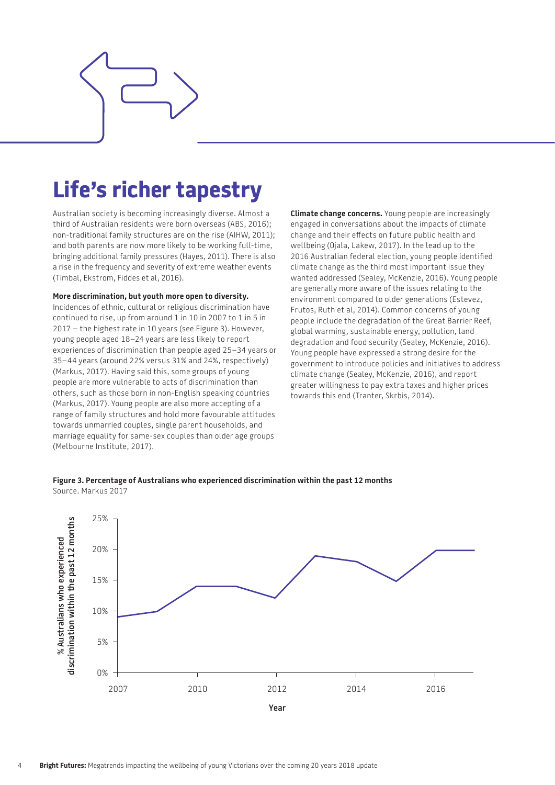

## **Life's richer tapestry**

Australian society is becoming increasingly diverse. Almost a third of Australian residents were born overseas (ABS, 2016); non-traditional family structures are on the rise (AIHW, 2011); and both parents are now more likely to be working full-time, bringing additional family pressures (Hayes, 2011). There is also a rise in the frequency and severity of extreme weather events (Timbal, Ekstrom, Fiddes et al, 2016).

#### **More discrimination, but youth more open to diversity.**

Incidences of ethnic, cultural or religious discrimination have continued to rise, up from around 1 in 10 in 2007 to 1 in 5 in 2017 – the highest rate in 10 years (see [Figure 3\)](#page-3-0). However, young people aged 18–24 years are less likely to report experiences of discrimination than people aged 25–34 years or 35–44 years (around 22% versus 31% and 24%, respectively) (Markus, 2017). Having said this, some groups of young people are more vulnerable to acts of discrimination than others, such as those born in non-English speaking countries (Markus, 2017). Young people are also more accepting of a range of family structures and hold more favourable attitudes towards unmarried couples, single parent households, and marriage equality for same-sex couples than older age groups (Melbourne Institute, 2017).

**Climate change concerns.** Young people are increasingly engaged in conversations about the impacts of climate change and their effects on future public health and wellbeing (Ojala, Lakew, 2017). In the lead up to the 2016 Australian federal election, young people identified climate change as the third most important issue they wanted addressed (Sealey, McKenzie, 2016). Young people are generally more aware of the issues relating to the environment compared to older generations (Estevez, Frutos, Ruth et al, 2014). Common concerns of young people include the degradation of the Great Barrier Reef, global warming, sustainable energy, pollution, land degradation and food security (Sealey, McKenzie, 2016). Young people have expressed a strong desire for the government to introduce policies and initiatives to address climate change (Sealey, McKenzie, 2016), and report greater willingness to pay extra taxes and higher prices towards this end (Tranter, Skrbis, 2014).

#### <span id="page-3-0"></span>**Figure 3. Percentage of Australians who experienced discrimination within the past 12 months** Source. Markus 2017

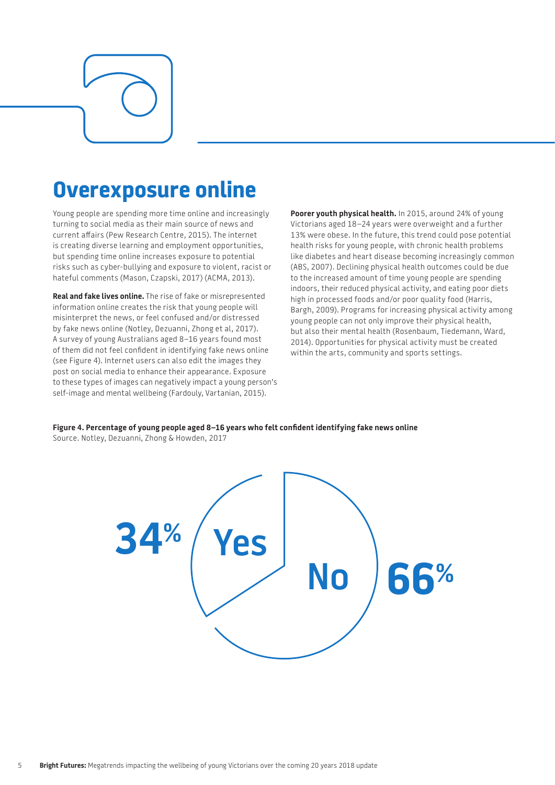### **Overexposure online**

Young people are spending more time online and increasingly turning to social media as their main source of news and current affairs (Pew Research Centre, 2015). The internet is creating diverse learning and employment opportunities, but spending time online increases exposure to potential risks such as cyber-bullying and exposure to violent, racist or hateful comments (Mason, Czapski, 2017) (ACMA, 2013).

**Real and fake lives online.** The rise of fake or misrepresented information online creates the risk that young people will misinterpret the news, or feel confused and/or distressed by fake news online (Notley, Dezuanni, Zhong et al, 2017). A survey of young Australians aged 8–16 years found most of them did not feel confident in identifying fake news online (see Figure 4). Internet users can also edit the images they post on social media to enhance their appearance. Exposure to these types of images can negatively impact a young person's self-image and mental wellbeing (Fardouly, Vartanian, 2015).

**Poorer youth physical health.** In 2015, around 24% of young Victorians aged 18–24 years were overweight and a further 13% were obese. In the future, this trend could pose potential health risks for young people, with chronic health problems like diabetes and heart disease becoming increasingly common (ABS, 2007). Declining physical health outcomes could be due to the increased amount of time young people are spending indoors, their reduced physical activity, and eating poor diets high in processed foods and/or poor quality food (Harris, Bargh, 2009). Programs for increasing physical activity among young people can not only improve their physical health, but also their mental health (Rosenbaum, Tiedemann, Ward, 2014). Opportunities for physical activity must be created within the arts, community and sports settings.

**Figure 4. Percentage of young people aged 8–16 years who felt confident identifying fake news online** Source. Notley, Dezuanni, Zhong & Howden, 2017

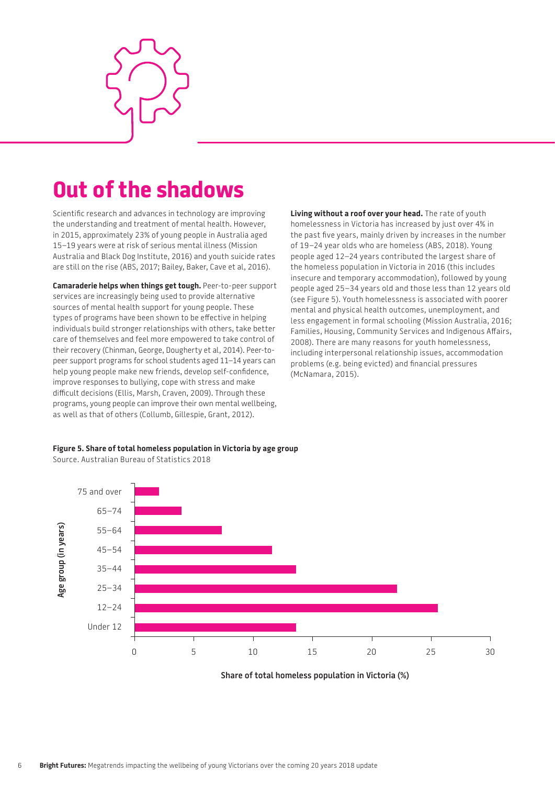

### **Out of the shadows**

Scientific research and advances in technology are improving the understanding and treatment of mental health. However, in 2015, approximately 23% of young people in Australia aged 15–19 years were at risk of serious mental illness (Mission Australia and Black Dog Institute, 2016) and youth suicide rates are still on the rise (ABS, 2017; Bailey, Baker, Cave et al, 2016).

**Camaraderie helps when things get tough.** Peer-to-peer support services are increasingly being used to provide alternative sources of mental health support for young people. These types of programs have been shown to be effective in helping individuals build stronger relationships with others, take better care of themselves and feel more empowered to take control of their recovery (Chinman, George, Dougherty et al, 2014). Peer-topeer support programs for school students aged 11–14 years can help young people make new friends, develop self-confidence, improve responses to bullying, cope with stress and make difficult decisions (Ellis, Marsh, Craven, 2009). Through these programs, young people can improve their own mental wellbeing, as well as that of others (Collumb, Gillespie, Grant, 2012).

**Living without a roof over your head.** The rate of youth homelessness in Victoria has increased by just over 4% in the past five years, mainly driven by increases in the number of 19–24 year olds who are homeless (ABS, 2018). Young people aged 12–24 years contributed the largest share of the homeless population in Victoria in 2016 (this includes insecure and temporary accommodation), followed by young people aged 25–34 years old and those less than 12 years old (see [Figure 5\)](#page-5-0). Youth homelessness is associated with poorer mental and physical health outcomes, unemployment, and less engagement in formal schooling (Mission Australia, 2016; Families, Housing, Community Services and Indigenous Affairs, 2008). There are many reasons for youth homelessness, including interpersonal relationship issues, accommodation problems (e.g. being evicted) and financial pressures (McNamara, 2015).



<span id="page-5-0"></span>**Figure 5. Share of total homeless population in Victoria by age group** Source. Australian Bureau of Statistics 2018

**Share of total homeless population in Victoria (%)**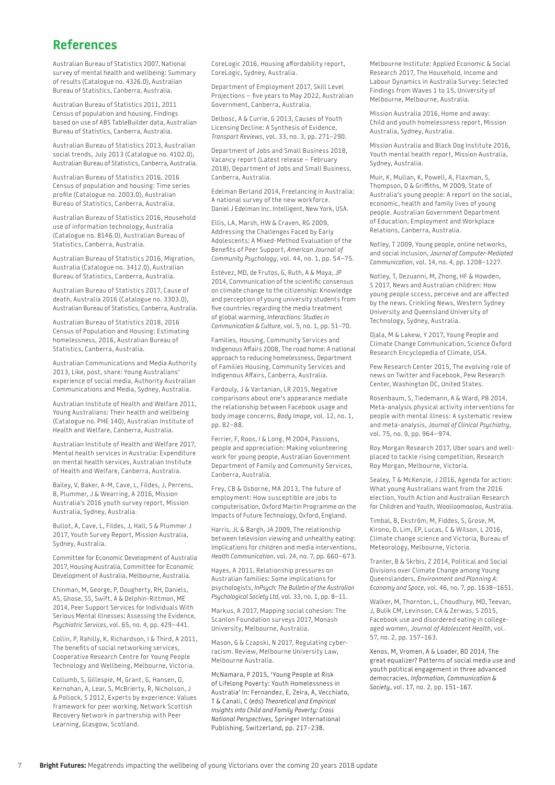#### **References**

Australian Bureau of Statistics 2007, National survey of mental health and wellbeing: Summary of results (Catalogue no. 4326.0), Australian Bureau of Statistics, Canberra, Australia.

Australian Bureau of Statistics 2011, 2011 Census of population and housing. Findings based on use of ABS TableBuilder data, Australian Bureau of Statistics, Canberra, Australia.

Australian Bureau of Statistics 2013, Australian social trends, July 2013 (Catalogue no. 4102.0), Australian Bureau of Statistics, Canberra, Australia.

Australian Bureau of Statistics 2016, 2016 Census of population and housing: Time series profile (Catalogue no. 2003.0), Australian Bureau of Statistics, Canberra, Australia.

Australian Bureau of Statistics 2016, Household use of information technology, Australia (Catalogue no. 8146.0), Australian Bureau of Statistics, Canberra, Australia.

Australian Bureau of Statistics 2016, Migration, Australia (Catalogue no. 3412.0), Australian Bureau of Statistics, Canberra, Australia.

Australian Bureau of Statistics 2017, Cause of death, Australia 2016 (Catalogue no. 3303.0), Australian Bureau of Statistics, Canberra, Australia.

Australian Bureau of Statistics 2018, 2016 Census of Population and Housing: Estimating homelessness, 2016, Australian Bureau of Statistics, Canberra, Australia.

Australian Communications and Media Authority 2013, Like, post, share: Young Australians' experience of social media, Authority Australian Communications and Media, Sydney, Australia.

Australian Institute of Health and Welfare 2011, Young Australians: Their health and wellbeing (Catalogue no. PHE 140), Australian Institute of Health and Welfare, Canberra, Australia.

Australian Institute of Health and Welfare 2017, Mental health services in Australia: Expenditure on mental health services, Australian Institute of Health and Welfare, Canberra, Australia.

Bailey, V, Baker, A-M, Cave, L, Fildes, J, Perrens, B, Plummer, J & Wearring, A 2016, Mission Australia's 2016 youth survey report, Mission Australia, Sydney, Australia.

Bullot, A, Cave, L, Fildes, J, Hall, S & Plummer J 2017, Youth Survey Report, Mission Australia, Sydney, Australia.

Committee for Economic Development of Australia 2017, Housing Australia, Committee for Economic Development of Australia, Melbourne, Australia.

Chinman, M, George, P, Dougherty, RH, Daniels, AS, Ghose, SS, Swift, A & Delphin-Rittmon, ME 2014, Peer Support Services for Individuals With Serious Mental Illnesses: Assessing the Evidence, *Psychiatric Services*, vol. 65, no. 4, pp. 429–441.

Collin, P, Rahilly, K, Richardson, I & Third, A 2011, The benefits of social networking services, Cooperative Research Centre for Young People Technology and Wellbeing, Melbourne, Victoria.

Collumb, S, Gillespie, M, Grant, G, Hansen, D, Kernohan, A, Lear, S, McBrierty, R, Nicholson, J & Pollock, S 2012, Experts by experience: Values framework for peer working, Network Scottish Recovery Network in partnership with Peer Learning, Glasgow, Scotland.

CoreLogic 2016, Housing affordability report, CoreLogic, Sydney, Australia.

Department of Employment 2017, Skill Level Projections – five years to May 2022, Australian Government, Canberra, Australia.

Delbosc, A & Currie, G 2013, Causes of Youth Licensing Decline: A Synthesis of Evidence, *Transport Reviews*, vol. 33, no. 3, pp. 271–290.

Department of Jobs and Small Business 2018, Vacancy report (Latest release – February 2018), Department of Jobs and Small Business, Canberra, Australia.

Edelman Berland 2014, Freelancing in Australia: A national survey of the new workforce. Daniel J Edelman Inc. Intelligent, New York, USA.

Ellis, LA, Marsh, HW & Craven, RG 2009, Addressing the Challenges Faced by Early Adolescents: A Mixed-Method Evaluation of the Benefits of Peer Support, *American Journal of Community Psychology*, vol. 44, no. 1, pp. 54–75.

Estévez, MD, de Frutos, G, Ruth, A & Moya, JP 2014, Communication of the scientific consensus on climate change to the citizenship: Knowledge and perception of young university students from five countries regarding the media treatment of global warming, *Interactions: Studies in Communication & Culture*, vol. 5, no. 1, pp. 51–70.

Families, Housing, Community Services and Indigenous Affairs 2008, The road home: A national approach to reducing homelessness, Department of Families Housing, Community Services and Indigenous Affairs, Canberra, Australia.

Fardouly, J & Vartanian, LR 2015, Negative comparisons about one's appearance mediate the relationship between Facebook usage and body image concerns, *Body Image*, vol. 12, no. 1, pp. 82–88.

Ferrier, F, Roos, I & Long, M 2004, Passions, people and appreciation: Making volunteering work for young people, Australian Government Department of Family and Community Services, Canberra, Australia.

Frey, CB & Osborne, MA 2013, The future of employment: How susceptible are jobs to computerisation, Oxford Martin Programme on the Impacts of Future Technology, Oxford, England.

Harris, JL & Bargh, JA 2009, The relationship between television viewing and unhealthy eating: Implications for children and media interventions, *Health Communication*, vol. 24, no. 7, pp. 660–673.

Hayes, A 2011, Relationship pressures on Australian families: Some implications for psychologists, *InPsych: The Bulletin of the Australian Psychological Society Ltd*, vol. 33, no. 1, pp. 8–11.

Markus, A 2017, Mapping social cohesion: The Scanlon Foundation surveys 2017, Monash University, Melbourne, Australia.

Mason, G & Czapski, N 2017, Regulating cyberracism. Review, Melbourne University Law, Melbourne Australia.

McNamara, P 2015, 'Young People at Risk of Lifelong Poverty: Youth Homelessness in Australia' In: Fernandez, E*,* Zeira, A, Vecchiato, T & Canali, C (eds) *Theoretical and Empirical Insights into Child and Family Poverty: Cross National Perspectives,* Springer International Publishing, Switzerland, pp. 217–238.

Melbourne Institute: Applied Economic & Social Research 2017, The Household, Income and Labour Dynamics in Australia Survey: Selected Findings from Waves 1 to 15, University of Melbourne, Melbourne, Australia.

Mission Australia 2016, Home and away: Child and youth homelessness report, Mission Australia, Sydney, Australia.

Mission Australia and Black Dog Institute 2016, Youth mental health report, Mission Australia, Sydney, Australia.

Muir, K, Mullan, K, Powell, A, Flaxman, S, Thompson, D & Griffiths, M 2009, State of Australia's young people: A report on the social, economic, health and family lives of young people. Australian Government Department of Education, Employment and Workplace Relations, Canberra, Australia.

Notley, T 2009, Young people, online networks, and social inclusion, *Journal of Computer-Mediated Communication*, vol. 14, no. 4, pp. 1208–1227.

Notley, T, Dezuanni, M, Zhong, HF & Howden, S 2017, News and Australian children: How young people sccess, perceive and are affected by the news. Crinkling News, Western Sydney University and Queensland University of Technology, Sydney, Australia.

Ojala, M & Lakew, Y 2017, Young People and Climate Change Communication, Science Oxford Research Encyclopedia of Climate, USA.

Pew Research Center 2015, The evolving role of news on Twitter and Facebook, Pew Research Center, Washington DC, United States.

Rosenbaum, S, Tiedemann, A & Ward, PB 2014, Meta-analysis physical activity interventions for people with mental illness: A systematic review and meta-analysis, *Journal of Clinical Psychiatry*, vol. 75, no. 9, pp. 964–974.

Roy Morgan Research 2017, Uber soars and wellplaced to tackle rising competition, Research Roy Morgan, Melbourne, Victoria.

Sealey, T & McKenzie, J 2016, Agenda for action: What young Australians want from the 2016 election, Youth Action and Australian Research for Children and Youth, Woolloomooloo, Australia.

Timbal, B, Ekström, M, Fiddes, S, Grose, M, Kirono, D, Lim, EP, Lucas, C & Wilson, L 2016, Climate change science and Victoria, Bureau of Meteorology, Melbourne, Victoria.

Tranter, B & Skrbis, Z 2014, Political and Social Divisions over Climate Change among Young Queenslanders, *Environment and Planning A: Economy and Space*, vol. 46, no. 7, pp. 1638–1651.

Walker, M, Thornton, L, Choudhury, MD, Teevan, J, Bulik CM, Levinson, CA & Zerwas, S 2015, Facebook use and disordered eating in collegeaged women, *Journal of Adolescent Health*, vol. 57, no. 2, pp. 157–163.

Xenos, M, Vromen, A & Loader, BD 2014, The great equalizer? Patterns of social media use and youth political engagement in three advanced democracies, *Information, Communication & Society*, vol. 17, no. 2, pp. 151–167.